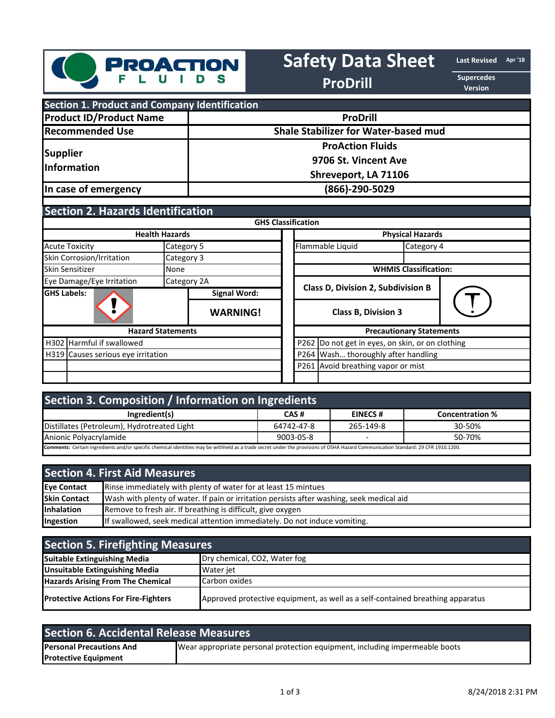

# **Safety Data Sheet Last Revised** Apr'18

**ProDrill** 

**Version**

| <b>Section 1. Product and Company Identification</b> |                                             |  |  |
|------------------------------------------------------|---------------------------------------------|--|--|
| <b>Product ID/Product Name</b>                       | <b>ProDrill</b>                             |  |  |
| <b>Recommended Use</b>                               | <b>Shale Stabilizer for Water-based mud</b> |  |  |
| Supplier<br>Information                              | <b>ProAction Fluids</b>                     |  |  |
|                                                      | 9706 St. Vincent Ave                        |  |  |
|                                                      | Shreveport, LA 71106                        |  |  |
| In case of emergency                                 | (866)-290-5029                              |  |  |

## **Section 2. Hazards Identification**

|                                    |               |                                                     | <b>GHS Classification</b>                 |                              |            |  |
|------------------------------------|---------------|-----------------------------------------------------|-------------------------------------------|------------------------------|------------|--|
| <b>Health Hazards</b>              |               |                                                     | <b>Physical Hazards</b>                   |                              |            |  |
| <b>Acute Toxicity</b>              | Category 5    |                                                     |                                           | Flammable Liquid             | Category 4 |  |
| Skin Corrosion/Irritation          | Category 3    |                                                     |                                           |                              |            |  |
| Skin Sensitizer                    | <b>I</b> None |                                                     |                                           | <b>WHMIS Classification:</b> |            |  |
| Eye Damage/Eye Irritation          |               | Category 2A                                         |                                           |                              |            |  |
| <b>GHS Labels:</b>                 |               | <b>Signal Word:</b>                                 | <b>Class D, Division 2, Subdivision B</b> |                              |            |  |
|                                    |               | <b>WARNING!</b>                                     | <b>Class B, Division 3</b>                |                              |            |  |
| <b>Hazard Statements</b>           |               |                                                     | <b>Precautionary Statements</b>           |                              |            |  |
| H302 Harmful if swallowed          |               | P262<br>Do not get in eyes, on skin, or on clothing |                                           |                              |            |  |
| H319 Causes serious eye irritation |               |                                                     | P264 Wash thoroughly after handling       |                              |            |  |
|                                    |               | P261 Avoid breathing vapor or mist                  |                                           |                              |            |  |
|                                    |               |                                                     |                                           |                              |            |  |

| Section 3. Composition / Information on Ingredients                                                                                                                               |            |                |                        |  |
|-----------------------------------------------------------------------------------------------------------------------------------------------------------------------------------|------------|----------------|------------------------|--|
| Ingredient(s)                                                                                                                                                                     | CAS#       | <b>EINECS#</b> | <b>Concentration %</b> |  |
| Distillates (Petroleum), Hydrotreated Light                                                                                                                                       | 64742-47-8 | 265-149-8      | 30-50%                 |  |
| Anionic Polyacrylamide<br>9003-05-8<br>50-70%<br>$\overline{\phantom{0}}$                                                                                                         |            |                |                        |  |
| Comments: Certain ingredients and/or specific chemical identities may be withheld as a trade secret under the provisions of OSHA Hazard Communication Standard: 29 CFR 1910.1200. |            |                |                        |  |

| <b>Section 4. First Aid Measures</b> |                                                                                           |  |
|--------------------------------------|-------------------------------------------------------------------------------------------|--|
| Eye Contact                          | Rinse immediately with plenty of water for at least 15 mintues                            |  |
| <b>Skin Contact</b>                  | Wash with plenty of water. If pain or irritation persists after washing, seek medical aid |  |
| Inhalation                           | Remove to fresh air. If breathing is difficult, give oxygen                               |  |
| Ingestion                            | If swallowed, seek medical attention immediately. Do not induce vomiting.                 |  |

| <b>Section 5. Firefighting Measures</b>     |                                                                                |  |
|---------------------------------------------|--------------------------------------------------------------------------------|--|
| Suitable Extinguishing Media                | Dry chemical, CO2, Water fog                                                   |  |
| <b>Unsuitable Extinguishing Media</b>       | Water jet                                                                      |  |
| <b>Hazards Arising From The Chemical</b>    | Carbon oxides                                                                  |  |
| <b>Protective Actions For Fire-Fighters</b> | Approved protective equipment, as well as a self-contained breathing apparatus |  |

| Section 6. Accidental Release Measures |                                                                             |  |  |
|----------------------------------------|-----------------------------------------------------------------------------|--|--|
| <b>Personal Precautions And</b>        | Wear appropriate personal protection equipment, including impermeable boots |  |  |
| <b>Protective Equipment</b>            |                                                                             |  |  |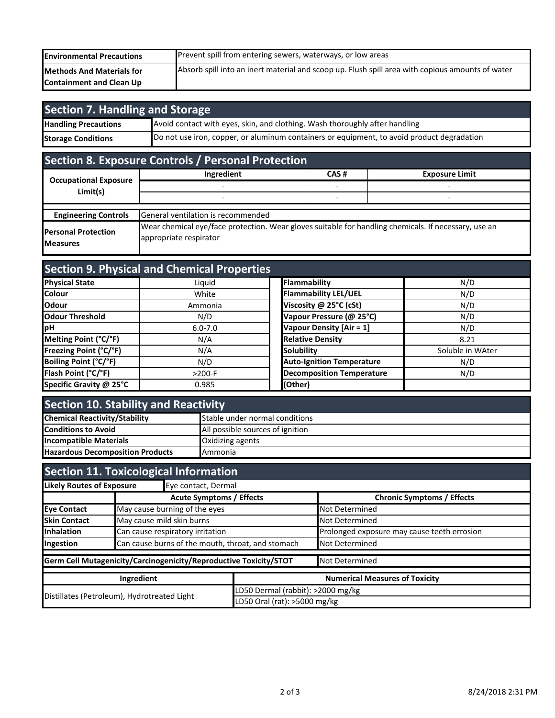| <b>Environmental Precautions</b> | Prevent spill from entering sewers, waterways, or low areas                                      |
|----------------------------------|--------------------------------------------------------------------------------------------------|
| <b>Methods And Materials for</b> | Absorb spill into an inert material and scoop up. Flush spill area with copious amounts of water |
| <b>Containment and Clean Up</b>  |                                                                                                  |

| Section 7. Handling and Storage |                                                                                            |  |  |
|---------------------------------|--------------------------------------------------------------------------------------------|--|--|
| <b>Handling Precautions</b>     | Avoid contact with eyes, skin, and clothing. Wash thoroughly after handling                |  |  |
| <b>Storage Conditions</b>       | Do not use iron, copper, or aluminum containers or equipment, to avoid product degradation |  |  |

# **Section 8. Exposure Controls / Personal Protection**

|                                                | Ingredient                                                                                                                     | CAS# | <b>Exposure Limit</b> |  |
|------------------------------------------------|--------------------------------------------------------------------------------------------------------------------------------|------|-----------------------|--|
| <b>Occupational Exposure</b><br>Limit(s)       |                                                                                                                                |      |                       |  |
|                                                |                                                                                                                                |      |                       |  |
| <b>Engineering Controls</b>                    | General ventilation is recommended                                                                                             |      |                       |  |
| <b>Personal Protection</b><br><b>IMeasures</b> | Wear chemical eye/face protection. Wear gloves suitable for handling chemicals. If necessary, use an<br>appropriate respirator |      |                       |  |

| <b>Section 9. Physical and Chemical Properties</b> |             |                                  |                  |  |
|----------------------------------------------------|-------------|----------------------------------|------------------|--|
| <b>Physical State</b>                              | Liquid      | Flammability                     | N/D              |  |
| <b>Colour</b>                                      | White       | <b>Flammability LEL/UEL</b>      | N/D              |  |
| <b>Odour</b>                                       | Ammonia     | Viscosity @ 25°C (cSt)           | N/D              |  |
| Odour Threshold                                    | N/D         | Vapour Pressure (@ 25°C)         | N/D              |  |
| <b>pH</b>                                          | $6.0 - 7.0$ | Vapour Density [Air = 1]         | N/D              |  |
| Melting Point (°C/°F)                              | N/A         | <b>Relative Density</b>          | 8.21             |  |
| Freezing Point (°C/°F)                             | N/A         | <b>Solubility</b>                | Soluble in WAter |  |
| Boiling Point (°C/°F)                              | N/D         | <b>Auto-Ignition Temperature</b> | N/D              |  |
| Flash Point (°C/°F)                                | $>200-F$    | <b>Decomposition Temperature</b> | N/D              |  |
| Specific Gravity @ 25°C                            | 0.985       | (Other)                          |                  |  |

| <b>Section 10. Stability and Reactivity</b> |                                  |  |
|---------------------------------------------|----------------------------------|--|
| <b>Chemical Reactivity/Stability</b>        | Stable under normal conditions   |  |
| <b>Conditions to Avoid</b>                  | All possible sources of ignition |  |
| <b>Incompatible Materials</b>               | <b>Oxidizing agents</b>          |  |
| <b>Hazardous Decomposition Products</b>     | <b>Ammonia</b>                   |  |

| <b>Section 11. Toxicological Information</b>                      |                                                     |                                   |                                             |  |
|-------------------------------------------------------------------|-----------------------------------------------------|-----------------------------------|---------------------------------------------|--|
| <b>Likely Routes of Exposure</b>                                  | Eye contact, Dermal                                 |                                   |                                             |  |
|                                                                   | <b>Acute Symptoms / Effects</b>                     |                                   | <b>Chronic Symptoms / Effects</b>           |  |
| <b>Eye Contact</b>                                                | May cause burning of the eyes                       |                                   | <b>Not Determined</b>                       |  |
| <b>Skin Contact</b>                                               | May cause mild skin burns                           |                                   | <b>Not Determined</b>                       |  |
| Inhalation                                                        | Can cause respiratory irritation                    |                                   | Prolonged exposure may cause teeth errosion |  |
| Ingestion                                                         | Can cause burns of the mouth, throat, and stomach   |                                   | <b>Not Determined</b>                       |  |
| Germ Cell Mutagenicity/Carcinogenicity/Reproductive Toxicity/STOT |                                                     |                                   | Not Determined                              |  |
|                                                                   | <b>Numerical Measures of Toxicity</b><br>Ingredient |                                   |                                             |  |
| Distillates (Petroleum), Hydrotreated Light                       |                                                     | LD50 Dermal (rabbit): >2000 mg/kg |                                             |  |
|                                                                   |                                                     | LD50 Oral (rat): >5000 mg/kg      |                                             |  |